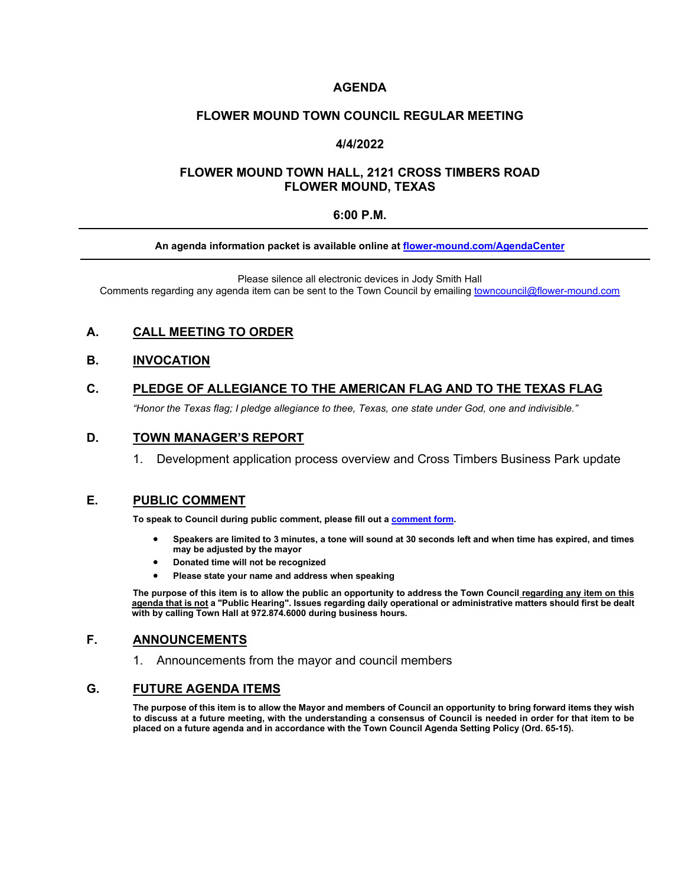# **AGENDA**

#### **FLOWER MOUND TOWN COUNCIL REGULAR MEETING**

### **4/4/2022**

## **FLOWER MOUND TOWN HALL, 2121 CROSS TIMBERS ROAD FLOWER MOUND, TEXAS**

#### **6:00 P.M.**

#### **An agenda information packet is available online at [flower-mound.com/AgendaCenter](file://san-svr/Shared/Town%20Secretary%20Office/Approved%20Agenda%20Items/TSO%20Theresa/4.4.22/www.flower-mound.com/AgendaCenter)**

Please silence all electronic devices in Jody Smith Hall Comments regarding any agenda item can be sent to the Town Council by emailing [towncouncil@flower-mound.com](file://san-svr/Shared/Town%20Secretary%20Office/Approved%20Agenda%20Items/TSO%20Theresa/4.4.22/towncouncil@flower-mound.com)

# **A. CALL MEETING TO ORDER**

#### **B. INVOCATION**

### **C. PLEDGE OF ALLEGIANCE TO THE AMERICAN FLAG AND TO THE TEXAS FLAG**

*"Honor the Texas flag; I pledge allegiance to thee, Texas, one state under God, one and indivisible."*

### **D. TOWN MANAGER'S REPORT**

1. Development application process overview and Cross Timbers Business Park update

#### **E. PUBLIC COMMENT**

**To speak to Council during public comment, please fill out a [comment form.](https://www.flower-mound.com/DocumentCenter/View/10425)** 

- **Speakers are limited to 3 minutes, a tone will sound at 30 seconds left and when time has expired, and times may be adjusted by the mayor**
- **Donated time will not be recognized**
- **Please state your name and address when speaking**

**The purpose of this item is to allow the public an opportunity to address the Town Council regarding any item on this agenda that is not a "Public Hearing". Issues regarding daily operational or administrative matters should first be dealt with by calling Town Hall at 972.874.6000 during business hours.**

### **F. ANNOUNCEMENTS**

1. Announcements from the mayor and council members

## **G. FUTURE AGENDA ITEMS**

**The purpose of this item is to allow the Mayor and members of Council an opportunity to bring forward items they wish to discuss at a future meeting, with the understanding a consensus of Council is needed in order for that item to be placed on a future agenda and in accordance with the Town Council Agenda Setting Policy (Ord. 65-15).**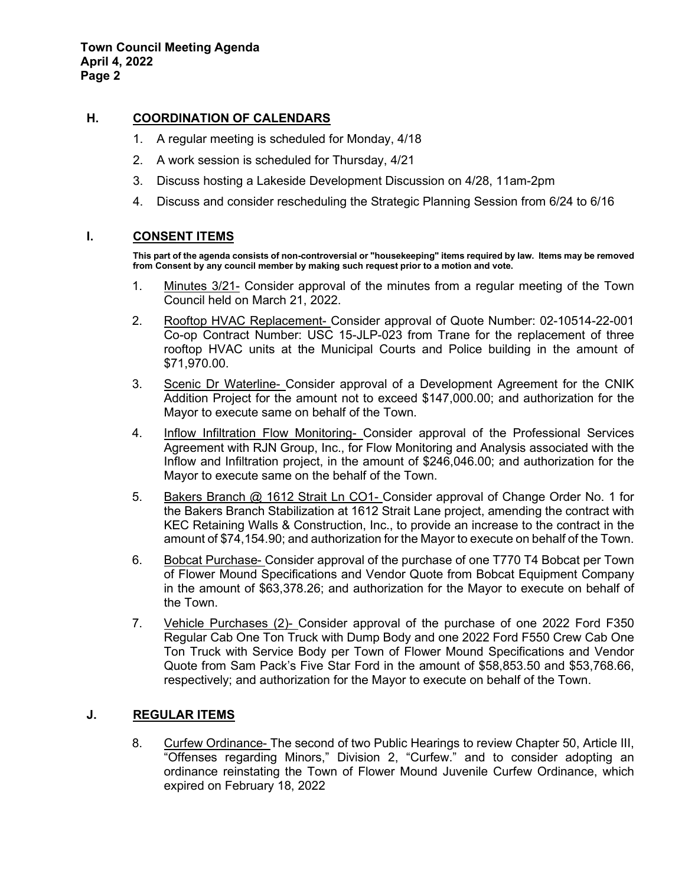# **H. COORDINATION OF CALENDARS**

- 1. A regular meeting is scheduled for Monday, 4/18
- 2. A work session is scheduled for Thursday, 4/21
- 3. Discuss hosting a Lakeside Development Discussion on 4/28, 11am-2pm
- 4. Discuss and consider rescheduling the Strategic Planning Session from 6/24 to 6/16

# **I. CONSENT ITEMS**

**This part of the agenda consists of non-controversial or "housekeeping" items required by law. Items may be removed from Consent by any council member by making such request prior to a motion and vote.** 

- 1. Minutes 3/21- Consider approval of the minutes from a regular meeting of the Town Council held on March 21, 2022.
- 2. Rooftop HVAC Replacement- Consider approval of Quote Number: 02-10514-22-001 Co-op Contract Number: USC 15-JLP-023 from Trane for the replacement of three rooftop HVAC units at the Municipal Courts and Police building in the amount of \$71,970.00.
- 3. Scenic Dr Waterline- Consider approval of a Development Agreement for the CNIK Addition Project for the amount not to exceed \$147,000.00; and authorization for the Mayor to execute same on behalf of the Town.
- 4. Inflow Infiltration Flow Monitoring- Consider approval of the Professional Services Agreement with RJN Group, Inc., for Flow Monitoring and Analysis associated with the Inflow and Infiltration project, in the amount of \$246,046.00; and authorization for the Mayor to execute same on the behalf of the Town.
- 5. Bakers Branch @ 1612 Strait Ln CO1- Consider approval of Change Order No. 1 for the Bakers Branch Stabilization at 1612 Strait Lane project, amending the contract with KEC Retaining Walls & Construction, Inc., to provide an increase to the contract in the amount of \$74,154.90; and authorization for the Mayor to execute on behalf of the Town.
- 6. Bobcat Purchase- Consider approval of the purchase of one T770 T4 Bobcat per Town of Flower Mound Specifications and Vendor Quote from Bobcat Equipment Company in the amount of \$63,378.26; and authorization for the Mayor to execute on behalf of the Town.
- 7. Vehicle Purchases (2)- Consider approval of the purchase of one 2022 Ford F350 Regular Cab One Ton Truck with Dump Body and one 2022 Ford F550 Crew Cab One Ton Truck with Service Body per Town of Flower Mound Specifications and Vendor Quote from Sam Pack's Five Star Ford in the amount of \$58,853.50 and \$53,768.66, respectively; and authorization for the Mayor to execute on behalf of the Town.

# **J. REGULAR ITEMS**

8. Curfew Ordinance- The second of two Public Hearings to review Chapter 50, Article III, "Offenses regarding Minors," Division 2, "Curfew." and to consider adopting an ordinance reinstating the Town of Flower Mound Juvenile Curfew Ordinance, which expired on February 18, 2022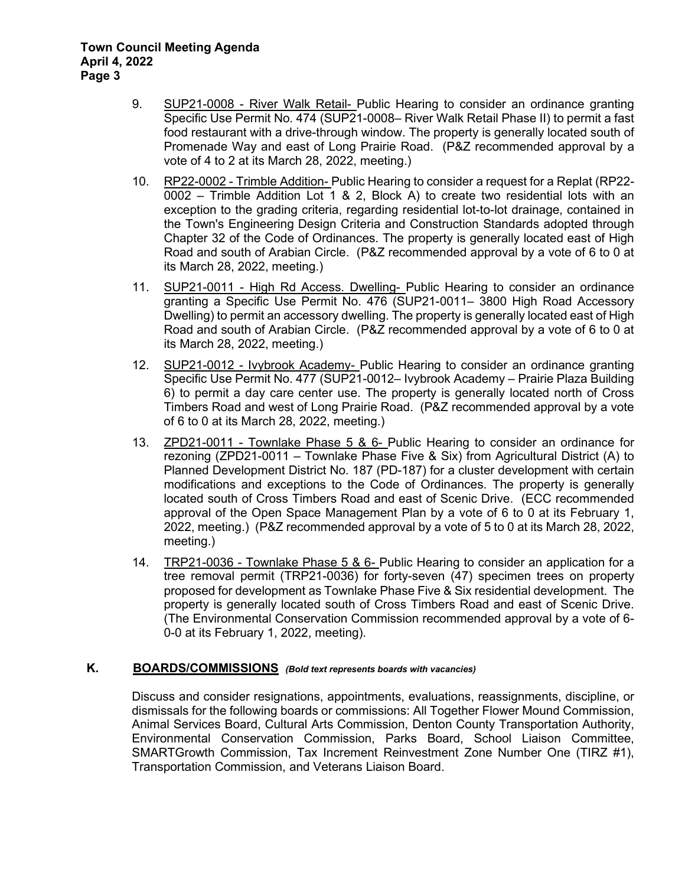- 9. SUP21-0008 River Walk Retail- Public Hearing to consider an ordinance granting Specific Use Permit No. 474 (SUP21-0008– River Walk Retail Phase II) to permit a fast food restaurant with a drive-through window. The property is generally located south of Promenade Way and east of Long Prairie Road. (P&Z recommended approval by a vote of 4 to 2 at its March 28, 2022, meeting.)
- 10. RP22-0002 Trimble Addition- Public Hearing to consider a request for a Replat (RP22- 0002 – Trimble Addition Lot 1 & 2, Block A) to create two residential lots with an exception to the grading criteria, regarding residential lot-to-lot drainage, contained in the Town's Engineering Design Criteria and Construction Standards adopted through Chapter 32 of the Code of Ordinances. The property is generally located east of High Road and south of Arabian Circle. (P&Z recommended approval by a vote of 6 to 0 at its March 28, 2022, meeting.)
- 11. SUP21-0011 High Rd Access. Dwelling- Public Hearing to consider an ordinance granting a Specific Use Permit No. 476 (SUP21-0011– 3800 High Road Accessory Dwelling) to permit an accessory dwelling. The property is generally located east of High Road and south of Arabian Circle. (P&Z recommended approval by a vote of 6 to 0 at its March 28, 2022, meeting.)
- 12. SUP21-0012 Ivybrook Academy- Public Hearing to consider an ordinance granting Specific Use Permit No. 477 (SUP21-0012– Ivybrook Academy – Prairie Plaza Building 6) to permit a day care center use. The property is generally located north of Cross Timbers Road and west of Long Prairie Road. (P&Z recommended approval by a vote of 6 to 0 at its March 28, 2022, meeting.)
- 13. ZPD21-0011 Townlake Phase 5 & 6- Public Hearing to consider an ordinance for rezoning (ZPD21-0011 – Townlake Phase Five & Six) from Agricultural District (A) to Planned Development District No. 187 (PD-187) for a cluster development with certain modifications and exceptions to the Code of Ordinances. The property is generally located south of Cross Timbers Road and east of Scenic Drive. (ECC recommended approval of the Open Space Management Plan by a vote of 6 to 0 at its February 1, 2022, meeting.) (P&Z recommended approval by a vote of 5 to 0 at its March 28, 2022, meeting.)
- 14. TRP21-0036 Townlake Phase 5 & 6- Public Hearing to consider an application for a tree removal permit (TRP21-0036) for forty-seven (47) specimen trees on property proposed for development as Townlake Phase Five & Six residential development. The property is generally located south of Cross Timbers Road and east of Scenic Drive. (The Environmental Conservation Commission recommended approval by a vote of 6- 0-0 at its February 1, 2022, meeting).

# **K. BOARDS/COMMISSIONS** *(Bold text represents boards with vacancies)*

Discuss and consider resignations, appointments, evaluations, reassignments, discipline, or dismissals for the following boards or commissions: All Together Flower Mound Commission, Animal Services Board, Cultural Arts Commission, Denton County Transportation Authority, Environmental Conservation Commission, Parks Board, School Liaison Committee, SMARTGrowth Commission, Tax Increment Reinvestment Zone Number One (TIRZ #1), Transportation Commission, and Veterans Liaison Board.